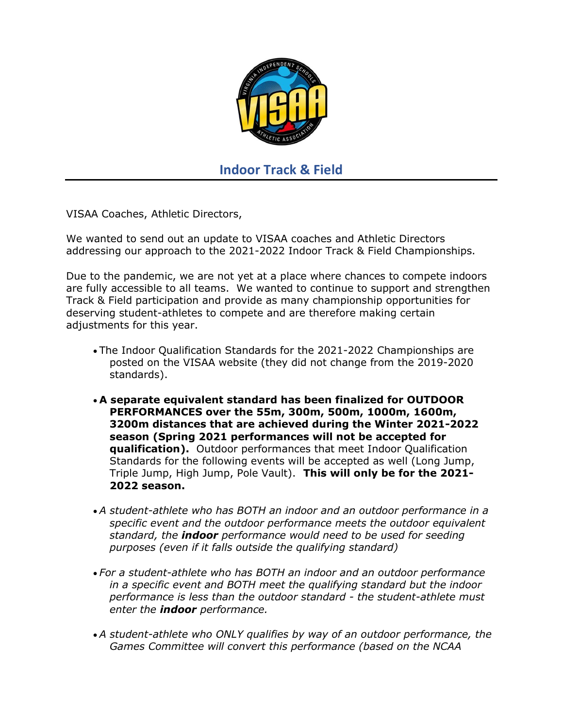

## Indoor Track & Field

VISAA Coaches, Athletic Directors,

We wanted to send out an update to VISAA coaches and Athletic Directors addressing our approach to the 2021-2022 Indoor Track & Field Championships.

Due to the pandemic, we are not yet at a place where chances to compete indoors are fully accessible to all teams. We wanted to continue to support and strengthen Track & Field participation and provide as many championship opportunities for deserving student-athletes to compete and are therefore making certain adjustments for this year.

- The Indoor Qualification Standards for the 2021-2022 Championships are posted on the VISAA website (they did not change from the 2019-2020 standards).
- A separate equivalent standard has been finalized for OUTDOOR PERFORMANCES over the 55m, 300m, 500m, 1000m, 1600m, 3200m distances that are achieved during the Winter 2021-2022 season (Spring 2021 performances will not be accepted for qualification). Outdoor performances that meet Indoor Qualification Standards for the following events will be accepted as well (Long Jump, Triple Jump, High Jump, Pole Vault). This will only be for the 2021- 2022 season.
- A student-athlete who has BOTH an indoor and an outdoor performance in a specific event and the outdoor performance meets the outdoor equivalent standard, the **indoor** performance would need to be used for seeding purposes (even if it falls outside the qualifying standard)
- For a student-athlete who has BOTH an indoor and an outdoor performance in a specific event and BOTH meet the qualifying standard but the indoor performance is less than the outdoor standard - the student-athlete must enter the **indoor** performance.
- A student-athlete who ONLY qualifies by way of an outdoor performance, the Games Committee will convert this performance (based on the NCAA